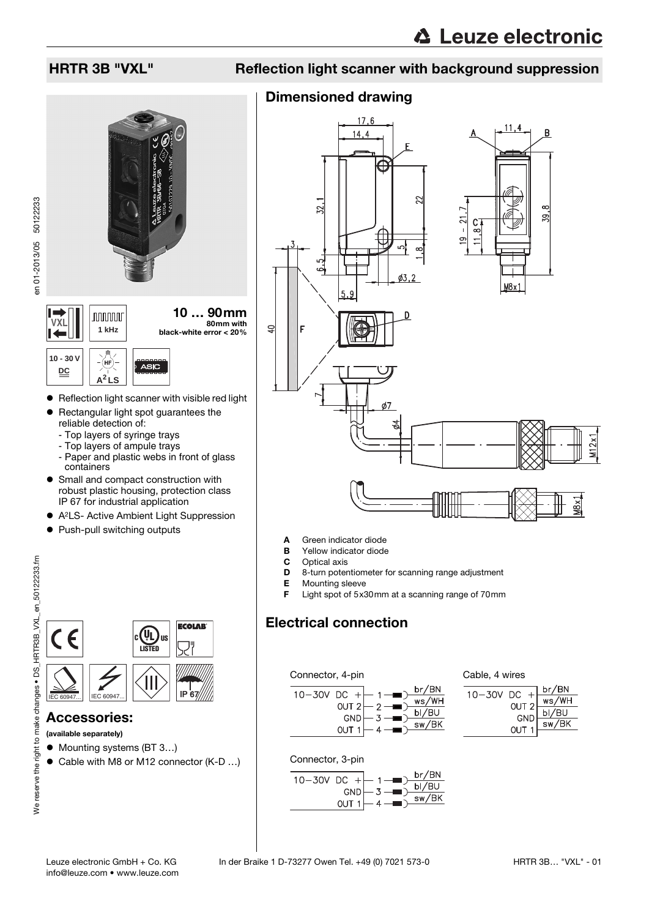

- $\bullet$  Reflection light scanner with visible red light
- $\bullet$  Rectangular light spot guarantees the reliable detection of:
	- Top layers of syringe trays
	- Top layers of ampule trays
	- Paper and plastic webs in front of glass containers
- Small and compact construction with robust plastic housing, protection class IP 67 for industrial application
- A<sup>2</sup>LS- Active Ambient Light Suppression
- Push-pull switching outputs



### Accessories:

#### (available separately)

- Mounting systems (BT 3...)
- Cable with M8 or M12 connector (K-D ...)

## HRTR 3B "VXL" Reflection light scanner with background suppression

### Dimensioned drawing



- A Green indicator diode
- **B** Yellow indicator diode
- **C** Optical axis<br>**D** 8-turn poter
- 8-turn potentiometer for scanning range adjustment
- E Mounting sleeve
- Light spot of  $5x30$ mm at a scanning range of  $70$ mm

### Electrical connection

### Connector, 4-pin



Cable, 4 wires

| $\pm$<br>10-30V DC | br/BN                               |
|--------------------|-------------------------------------|
| OUT 2              | ws/WH                               |
| C <sub>CD</sub>    | $\frac{\text{bl/BU}}{\text{sw/BK}}$ |
| OUT <sup>1</sup>   |                                     |
|                    |                                     |

#### Connector, 3-pin

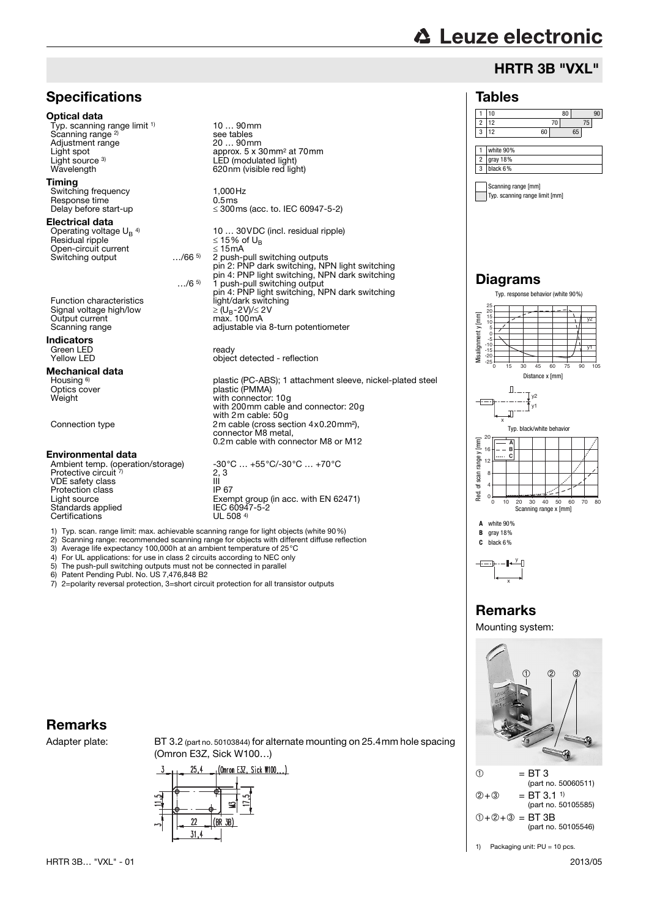# **△ Leuze electronic**

### HRTR 3B "VXL"

### Tables

#### 1 10 80 90 2 12 70 75 3 12 60 65 1 white 90% 2 gray 18% 3 black 6% Scanning range [mm]

Typ. scanning range limit [mm]

### Diagrams





## Remarks

Mounting system:



1) Packaging unit: PU = 10 pcs.

### **Specifications**

#### Optical data

Typ. scanning range limit <sup>1)</sup> Scanning range<sup>2)</sup> Adjustment range<br>Light spot Light source 3)<br>Wavelength

#### Timing

Switching frequency 1,000Hz<br>
Response time 1,5 ms Response time<br>Delay before start-up

#### Electrical data

Operating voltage  $U_B$ <sup>4)</sup><br>Besidual ripple Operating voltage U<sub>B</sub> <sup>4)</sup> 10 … 30VDC (incl. residual ripple)<br>Residual ripple  $\leq 15\%$  of U<sub>B</sub> Open-circuit current ≤ 15mA Switching output

…/6 5) 1 push-pull switching output pin 4: PNP light switching, NPN dark switching

10 … 90mm

see tables<br>20 ... 90mm

approx. 5 x 30mm<sup>2</sup> at 70mm

 $\leq$  300ms (acc. to. IEC 60947-5-2)

adjustable via 8-turn potentiometer

with 200mm cable and connector: 20g

0.2m cable with connector M8 or M12

Exempt group (in acc. with EN 62471)<br>IEC 60947-5-2

object detected - reflection

with connector: 10g

with 2m cable: 50g

connector M8 metal,

2 push-pull switching outputs pin 2: PNP dark switching, NPN light switching pin 4: PNP light switching, NPN dark switching

plastic (PC-ABS); 1 attachment sleeve, nickel-plated steel

LED (modulated light) 620nm (visible red light)

Function characteristics light/dark switching<br>Signal voltage high/low  $\geq (U_B - 2V)/\leq 2V$ <br>Output current max. 100mA Signal voltage high/low Output current<br>Scanning range

#### Indicators

Green LED ready

Mechanical data

Housing <sup>6)</sup><br>Optics cover Optics cover plastic (PMMA)

Connection type 2m cable (cross section 4x0.20mm²),

#### Environmental data

Ambient temp. (operation/storage) -30°C ... +55°C/-30°C ... +70°C Protective circuit 7 VDE safety class III<br>Protection class IP 67 Protection class<br>Light source Standards applied IEC 6094<br>Certifications III 508.<sup>4)</sup> Certifications

1) Typ. scan. range limit: max. achievable scanning range for light objects (white 90%)

2) Scanning range: recommended scanning range for objects with different diffuse reflection

 $\frac{2}{111}$  3

- 3) Average life expectancy 100,000 h at an ambient temperature of 25 °C<br>4) For UL applications: for use in class 2 circuits according to NEC only
- 4) For UL applications: for use in class 2 circuits according to NEC only<br>5) The push-pull switching outputs must not be connected in parallel
- The push-pull switching outputs must not be connected in parallel

6) Patent Pending Publ. No. US 7,476,848 B2<br>
7) 2-polarity reversal protection 3-short circle

2=polarity reversal protection, 3=short circuit protection for all transistor outputs

### Remarks

Adapter plate: BT 3.2 (part no. 50103844) for alternate mounting on 25.4mm hole spacing (Omron E3Z, Sick W100…)

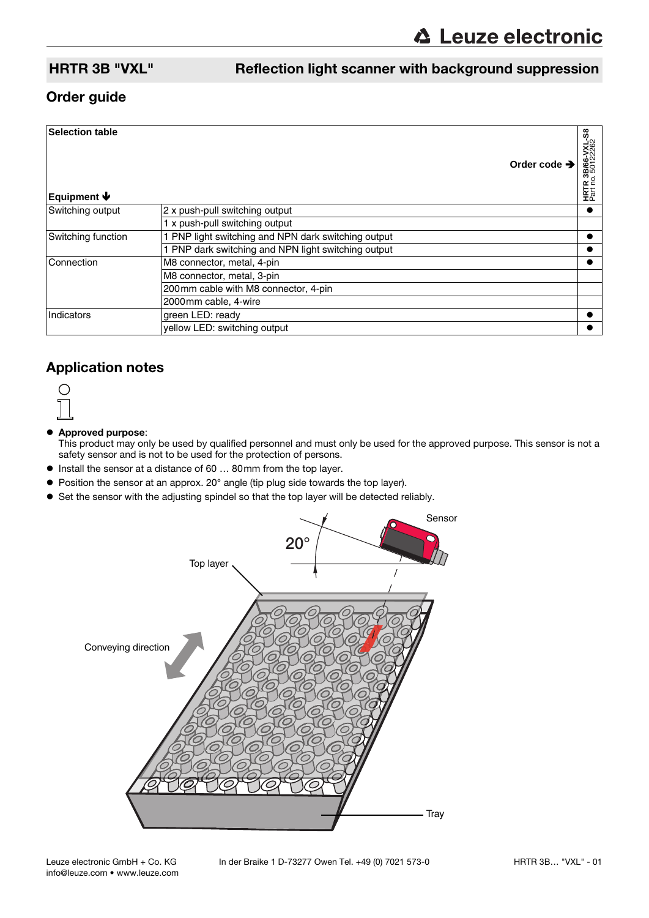### HRTR 3B "VXL" Reflection light scanner with background suppression

### Order guide

| <b>Selection table</b><br>Equipment $\blacklozenge$ | Order code $\rightarrow$                            | <b>HRTR 3B/66-VXL-S8</b><br>Part no. 50122262 |
|-----------------------------------------------------|-----------------------------------------------------|-----------------------------------------------|
| Switching output                                    | 2 x push-pull switching output                      |                                               |
|                                                     | 1 x push-pull switching output                      |                                               |
| Switching function                                  | 1 PNP light switching and NPN dark switching output |                                               |
|                                                     | PNP dark switching and NPN light switching output   |                                               |
| Connection                                          | M8 connector, metal, 4-pin                          |                                               |
|                                                     | M8 connector, metal, 3-pin                          |                                               |
|                                                     | 200mm cable with M8 connector, 4-pin                |                                               |
|                                                     | 2000mm cable, 4-wire                                |                                               |
| Indicators                                          | green LED: ready                                    |                                               |
|                                                     | yellow LED: switching output                        |                                               |

### Application notes



#### $\bullet$  Approved purpose:

This product may only be used by qualified personnel and must only be used for the approved purpose. This sensor is not a safety sensor and is not to be used for the protection of persons.

- Install the sensor at a distance of 60 ... 80mm from the top layer.
- Position the sensor at an approx. 20° angle (tip plug side towards the top layer).
- Set the sensor with the adjusting spindel so that the top layer will be detected reliably.